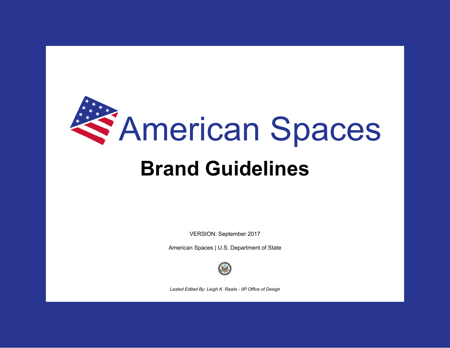

# **Brand Guidelines**

VERSION: September 2017

American Spaces | U.S. Department of State



*Lasted Edited By: Leigh K. Rawls - IIP Office of Design*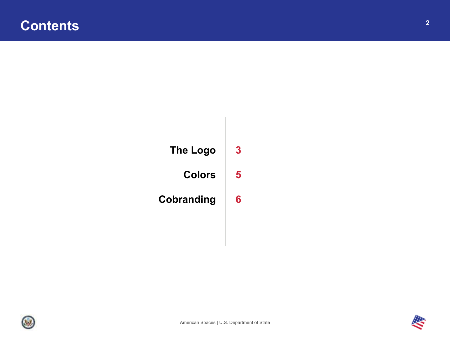



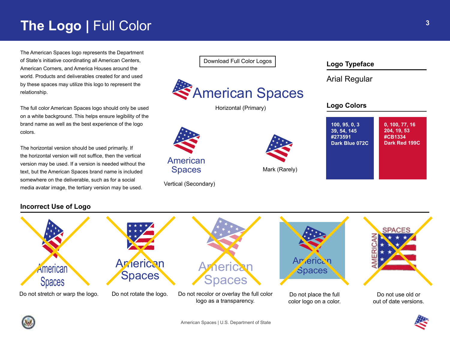## **The Logo | Full Color**

The American Spaces logo represents the Department of State's initiative coordinating all American Centers, American Corners, and America Houses around the world. Products and deliverables created for and used by these spaces may utilize this logo to represent the relationship.

The full color American Spaces logo should only be used on a white background. This helps ensure legibility of the brand name as well as the best experience of the logo colors.

The horizontal version should be used primarily. If the horizontal version will not suffice, then the vertical version may be used. If a version is needed without the text, but the American Spaces brand name is included somewhere on the deliverable, such as for a social media avatar image, the tertiary version may be used.

[Download Full Color Logos](https://app.box.com/s/znt5iqbb0en53lygtry19rcmluj3xpv0)



Horizontal (Primary)



Vertical (Secondary)



**100, 95, 0, 3 39, 54, 145 #273591 Dark Blue 072C 0, 100, 77, 16 204, 19, 53 #CB1334 Dark Red 199C**

**Logo Colors**

**Logo Typeface**

Arial Regular

## **Incorrect Use of Logo**







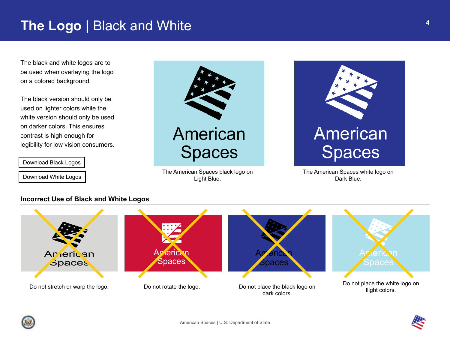## **The Logo |** Black and White

The black and white logos are to be used when overlaying the logo on a colored background.

The black version should only be used on lighter colors while the white version should only be used on darker colors. This ensures contrast is high enough for legibility for low vision consumers.

[Download Black Logos](https://app.box.com/s/jik7gdxu0hy9r5k3dk6stmmhb202nuai)

[Download White Logos](https://app.box.com/s/cwfttq2tbomw3bu1haplf4hwcpbil4zx)



The American Spaces black logo on Light Blue.



The American Spaces white logo on Dark Blue.

### **Incorrect Use of Black and White Logos**



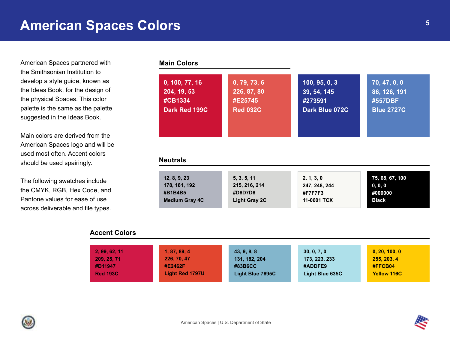## **American Spaces Colors**

American Spaces partnered with the Smithsonian Institution to develop a style guide, known as the Ideas Book, for the design of the physical Spaces. This color palette is the same as the palette suggested in the Ideas Book.

Main colors are derived from the American Spaces logo and will be used most often. Accent colors should be used spairingly.

The following swatches include the CMYK, RGB, Hex Code, and Pantone values for ease of use across deliverable and file types.

### **Main Colors**

| 0, 100, 77, 16<br>204, 19, 53<br>#CB1334<br>Dark Red 199C | 0, 79, 73, 6<br>226, 87, 80<br>#E25745<br><b>Red 032C</b> | 100, 95, 0, 3<br>39, 54, 145<br>#273591<br>Dark Blue 072C | 70, 47, 0, 0<br>86, 126, 191<br>#557DBF<br><b>Blue 2727C</b> |
|-----------------------------------------------------------|-----------------------------------------------------------|-----------------------------------------------------------|--------------------------------------------------------------|
|                                                           |                                                           |                                                           |                                                              |
| <b>Neutrals</b><br>12, 8, 9, 23                           | 5, 3, 5, 11                                               | 2, 1, 3, 0                                                | 75, 68, 67, 100                                              |

### **Accent Colors**

| 2, 99, 62, 11   | 1, 87, 89, 4           | 43, 9, 8, 8      | 30, 0, 7, 0     | 0, 20, 100, 0      |
|-----------------|------------------------|------------------|-----------------|--------------------|
| 209, 25, 71     | 226, 70, 47            | 131, 182, 204    | 173, 223, 233   | 255, 203, 4        |
| #D11947         | #E2462F                | #83B6CC          | #ADDFE9         | #FFCB04            |
| <b>Red 193C</b> | <b>Light Red 1797U</b> | Light Blue 7695C | Light Blue 635C | <b>Yellow 116C</b> |
|                 |                        |                  |                 |                    |

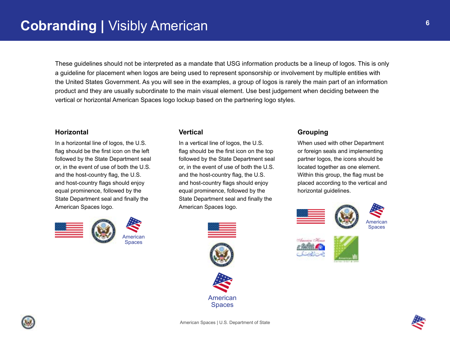These guidelines should not be interpreted as a mandate that USG information products be a lineup of logos. This is only a guideline for placement when logos are being used to represent sponsorship or involvement by multiple entities with the United States Government. As you will see in the examples, a group of logos is rarely the main part of an information product and they are usually subordinate to the main visual element. Use best judgement when deciding between the vertical or horizontal American Spaces logo lockup based on the partnering logo styles.

### **Horizontal Vertical Grouping**

In a horizontal line of logos, the U.S. flag should be the first icon on the left followed by the State Department seal or, in the event of use of both the U.S. and the host-country flag, the U.S. and host-country flags should enjoy equal prominence, followed by the State Department seal and finally the American Spaces logo.



In a vertical line of logos, the U.S. flag should be the first icon on the top followed by the State Department seal or, in the event of use of both the U.S. and the host-country flag, the U.S. and host-country flags should enjoy equal prominence, followed by the State Department seal and finally the American Spaces logo.



When used with other Department or foreign seals and implementing partner logos, the icons should be located together as one element. Within this group, the flag must be placed according to the vertical and horizontal guidelines.













**6**

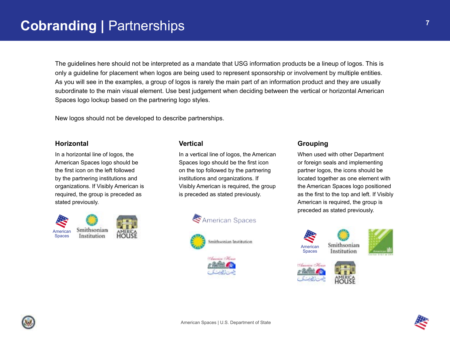The guidelines here should not be interpreted as a mandate that USG information products be a lineup of logos. This is only a guideline for placement when logos are being used to represent sponsorship or involvement by multiple entities. As you will see in the examples, a group of logos is rarely the main part of an information product and they are usually subordinate to the main visual element. Use best judgement when deciding between the vertical or horizontal American Spaces logo lockup based on the partnering logo styles.

New logos should not be developed to describe partnerships.

In a horizontal line of logos, the American Spaces logo should be the first icon on the left followed by the partnering institutions and organizations. If Visibly American is required, the group is preceded as stated previously.



In a vertical line of logos, the American Spaces logo should be the first icon on the top followed by the partnering institutions and organizations. If Visibly American is required, the group is preceded as stated previously.







### **Horizontal Vertical Grouping**

When used with other Department or foreign seals and implementing partner logos, the icons should be located together as one element with the American Spaces logo positioned as the first to the top and left. If Visibly American is required, the group is preceded as stated previously.









**7**